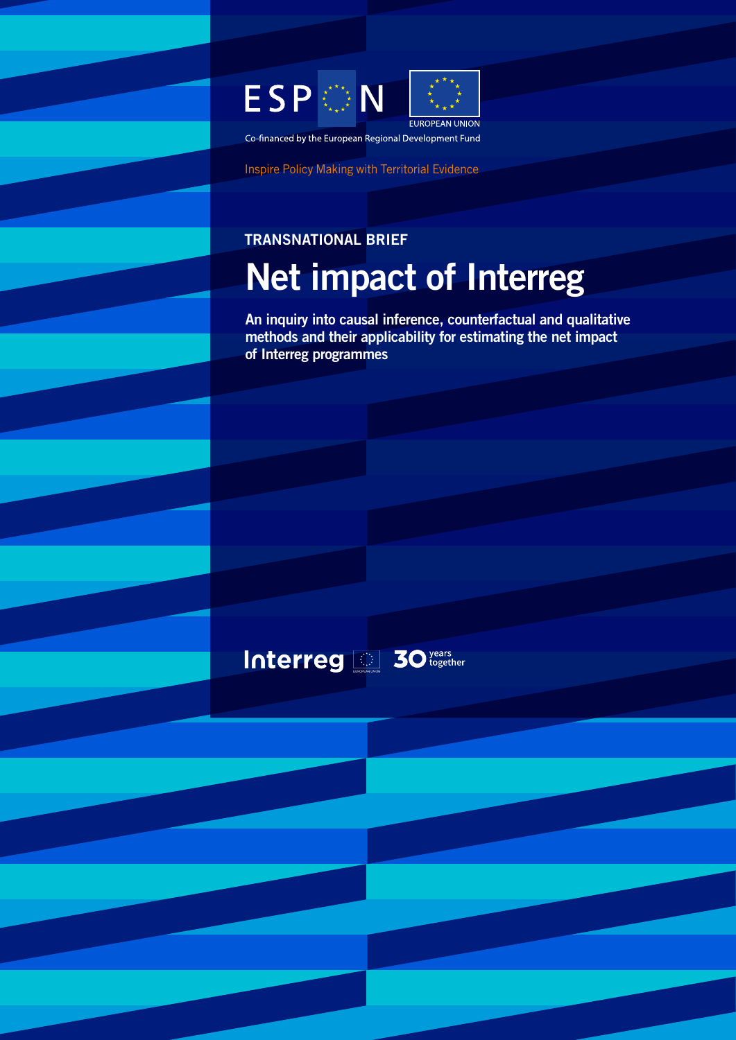

Co-financed by the European Regional Development Fund

Inspire Policy Making with Territorial Evidence

Interreg 30 vears

# TRANSNATIONAL BRIEF Net impact of Interreg

An inquiry into causal inference, counterfactual and qualitative methods and their applicability for estimating the net impact of Interreg programmes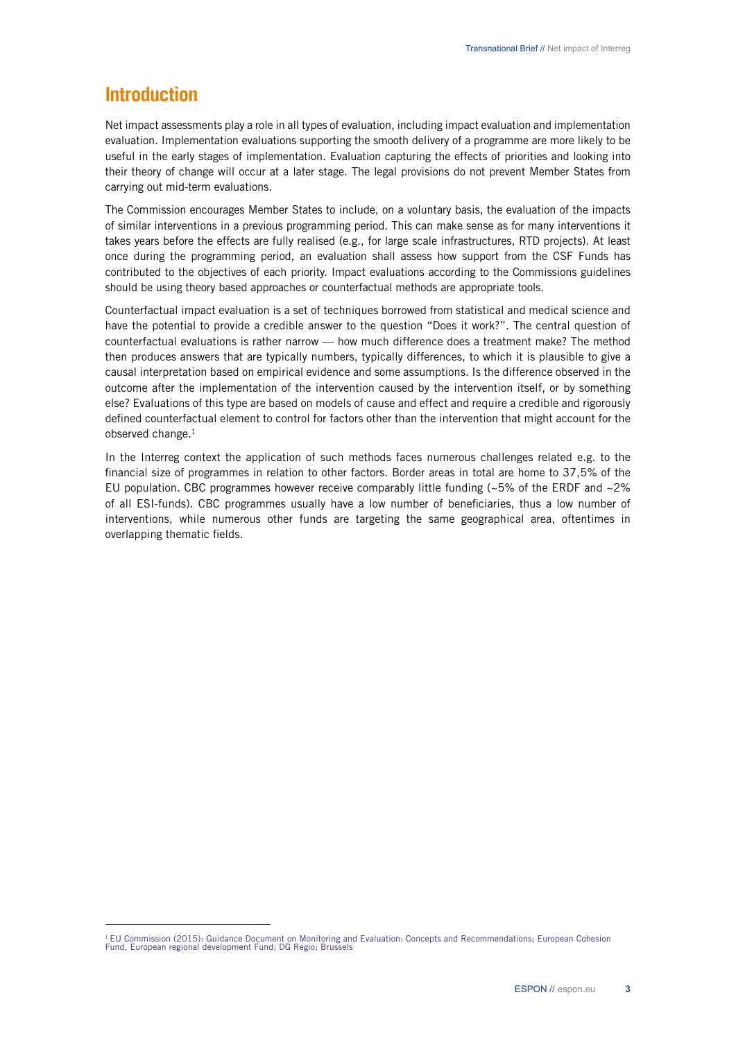# **Introduction**

Net impact assessments play a role in all types of evaluation, including impact evaluation and implementation evaluation. Implementation evaluations supporting the smooth delivery of a programme are more likely to be useful in the early stages of implementation. Evaluation capturing the effects of priorities and looking into their theory of change will occur at a later stage. The legal provisions do not prevent Member States from carrying out mid-term evaluations.

The Commission encourages Member States to include, on a voluntary basis, the evaluation of the impacts of similar interventions in a previous programming period. This can make sense as for many interventions it takes years before the effects are fully realised (e.g., for large scale infrastructures, RTD projects). At least once during the programming period, an evaluation shall assess how support from the CSF Funds has contributed to the objectives of each priority. Impact evaluations according to the Commissions guidelines should be using theory based approaches or counterfactual methods are appropriate tools.

Counterfactual impact evaluation is a set of techniques borrowed from statistical and medical science and have the potential to provide a credible answer to the question "Does it work?". The central question of counterfactual evaluations is rather narrow — how much difference does a treatment make? The method then produces answers that are typically numbers, typically differences, to which it is plausible to give a causal interpretation based on empirical evidence and some assumptions. Is the difference observed in the outcome after the implementation of the intervention caused by the intervention itself, or by something else? Evaluations of this type are based on models of cause and effect and require a credible and rigorously defined counterfactual element to control for factors other than the intervention that might account for the observed change.<sup>1</sup>

In the Interreg context the application of such methods faces numerous challenges related e.g. to the financial size of programmes in relation to other factors. Border areas in total are home to 37,5% of the EU population. CBC programmes however receive comparably little funding  $\langle \sim 5\%$  of the ERDF and  $\sim 2\%$ of all ESI-funds). CBC programmes usually have a low number of beneficiaries, thus a low number of interventions, while numerous other funds are targeting the same geographical area, oftentimes in overlapping thematic fields.

<sup>&</sup>lt;sup>1</sup> EU Commission (2015): Guidance Document on Monitoring and Evaluation: Concepts and Recommendations; European Cohesion<br>Fund, European regional development Fund; DG Regio; Brussels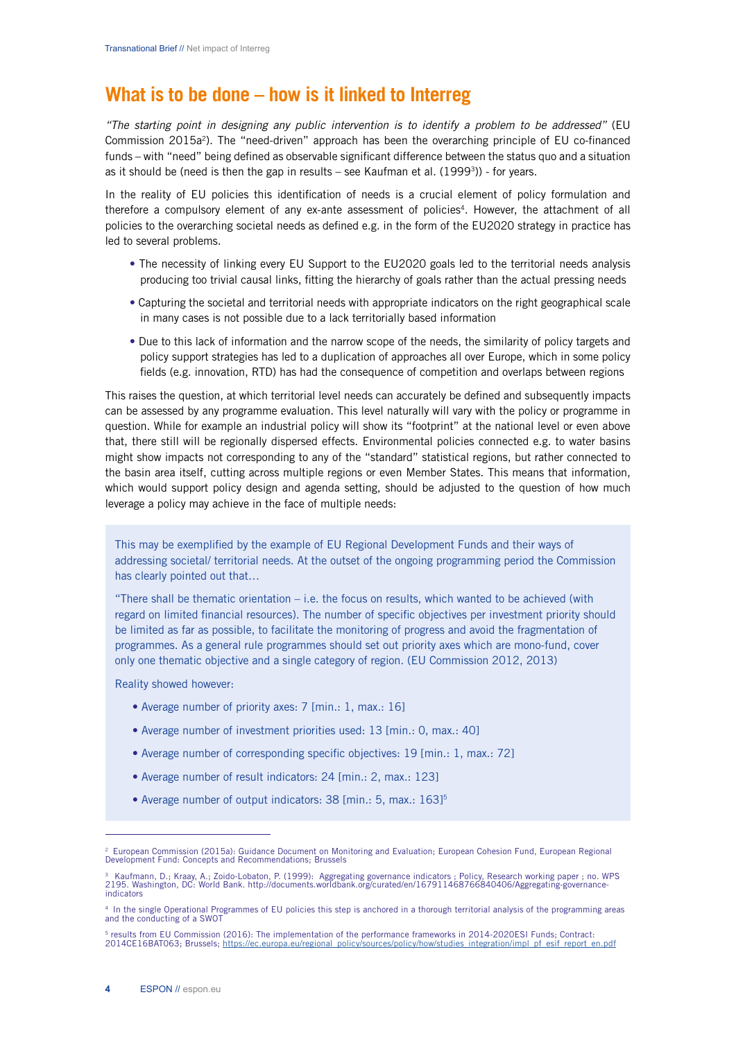# **What is to be done – how is it linked to Interreg**

*"The starting point in designing any public intervention is to identify a problem to be addressed"* (EU Commission 2015a<sup>2</sup>). The "need-driven" approach has been the overarching principle of EU co-financed funds – with "need" being defined as observable significant difference between the status quo and a situation as it should be (need is then the gap in results – see Kaufman et al.  $(1999<sup>3</sup>)$ ) - for years.

In the reality of EU policies this identification of needs is a crucial element of policy formulation and therefore a compulsory element of any ex-ante assessment of policies<sup>4</sup>. However, the attachment of all policies to the overarching societal needs as defined e.g. in the form of the EU2020 strategy in practice has led to several problems.

- The necessity of linking every EU Support to the EU2020 goals led to the territorial needs analysis producing too trivial causal links, fitting the hierarchy of goals rather than the actual pressing needs
- Capturing the societal and territorial needs with appropriate indicators on the right geographical scale in many cases is not possible due to a lack territorially based information
- Due to this lack of information and the narrow scope of the needs, the similarity of policy targets and policy support strategies has led to a duplication of approaches all over Europe, which in some policy fields (e.g. innovation, RTD) has had the consequence of competition and overlaps between regions

This raises the question, at which territorial level needs can accurately be defined and subsequently impacts can be assessed by any programme evaluation. This level naturally will vary with the policy or programme in question. While for example an industrial policy will show its "footprint" at the national level or even above that, there still will be regionally dispersed effects. Environmental policies connected e.g. to water basins might show impacts not corresponding to any of the "standard" statistical regions, but rather connected to the basin area itself, cutting across multiple regions or even Member States. This means that information, which would support policy design and agenda setting, should be adjusted to the question of how much leverage a policy may achieve in the face of multiple needs:

This may be exemplified by the example of EU Regional Development Funds and their ways of addressing societal/ territorial needs. At the outset of the ongoing programming period the Commission has clearly pointed out that…

"There shall be thematic orientation  $-$  i.e. the focus on results, which wanted to be achieved (with regard on limited financial resources). The number of specific objectives per investment priority should be limited as far as possible, to facilitate the monitoring of progress and avoid the fragmentation of programmes. As a general rule programmes should set out priority axes which are mono-fund, cover only one thematic objective and a single category of region. (EU Commission 2012, 2013)

Reality showed however:

- Average number of priority axes: 7 [min.: 1, max.: 16]
- Average number of investment priorities used: 13 [min.: 0, max.: 40]
- Average number of corresponding specific objectives: 19 [min.: 1, max.: 72]
- Average number of result indicators: 24 [min.: 2, max.: 123]
- Average number of output indicators: 38 [min.: 5, max.: 163]<sup>5</sup>

<sup>2</sup> European Commission (2015a): Guidance Document on Monitoring and Evaluation; European Cohesion Fund, European Regional Development Fund: Concepts and Recommendations; Brussels

<sup>&</sup>lt;sup>3</sup> Kaufmann, D.; Kraay, A.; Zoido-Lobaton, P. (1999): Aggregating governance indicators ; Policy, Research working paper ; no. WPS<br>2195. Washington, DC: World Bank. http://documents.worldbank.org/curated/en/16791146876684 indicators

<sup>4</sup> In the single Operational Programmes of EU policies this step is anchored in a thorough territorial analysis of the programming areas and the conducting of a SWOT

<sup>&</sup>lt;sup>5</sup> results from EU Commission (2016): The implementation of the performance frameworks in 2014-2020ESI Funds; Contract:<br>2014CE16BAT063; Brussels; <u>https://ec.europa.eu/regional\_policy/sources/policy/how/studies\_integratio</u>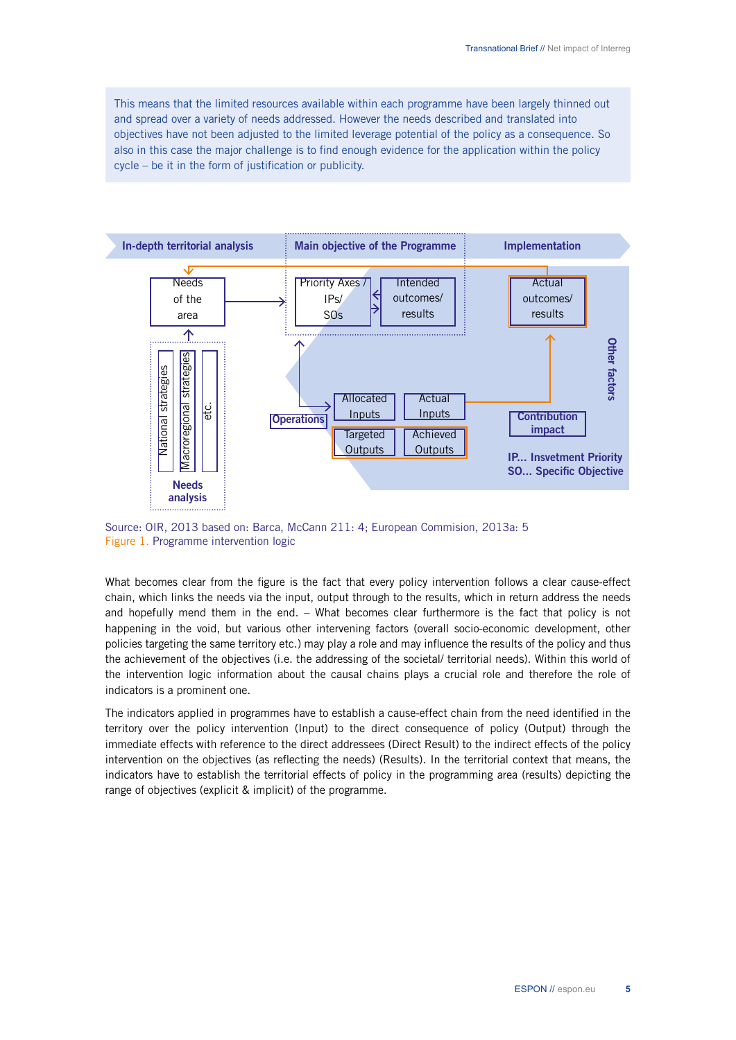This means that the limited resources available within each programme have been largely thinned out and spread over a variety of needs addressed. However the needs described and translated into objectives have not been adjusted to the limited leverage potential of the policy as a consequence. So also in this case the major challenge is to find enough evidence for the application within the policy cycle – be it in the form of justification or publicity.



Source: OIR, 2013 based on: Barca, McCann 211: 4; European Commision, 2013a: 5 Figure 1. Programme intervention logic

What becomes clear from the figure is the fact that every policy intervention follows a clear cause-effect chain, which links the needs via the input, output through to the results, which in return address the needs and hopefully mend them in the end. – What becomes clear furthermore is the fact that policy is not happening in the void, but various other intervening factors (overall socio-economic development, other policies targeting the same territory etc.) may play a role and may influence the results of the policy and thus the achievement of the objectives (i.e. the addressing of the societal/ territorial needs). Within this world of the intervention logic information about the causal chains plays a crucial role and therefore the role of indicators is a prominent one.

The indicators applied in programmes have to establish a cause-effect chain from the need identified in the territory over the policy intervention (Input) to the direct consequence of policy (Output) through the immediate effects with reference to the direct addressees (Direct Result) to the indirect effects of the policy intervention on the objectives (as reflecting the needs) (Results). In the territorial context that means, the indicators have to establish the territorial effects of policy in the programming area (results) depicting the range of objectives (explicit & implicit) of the programme.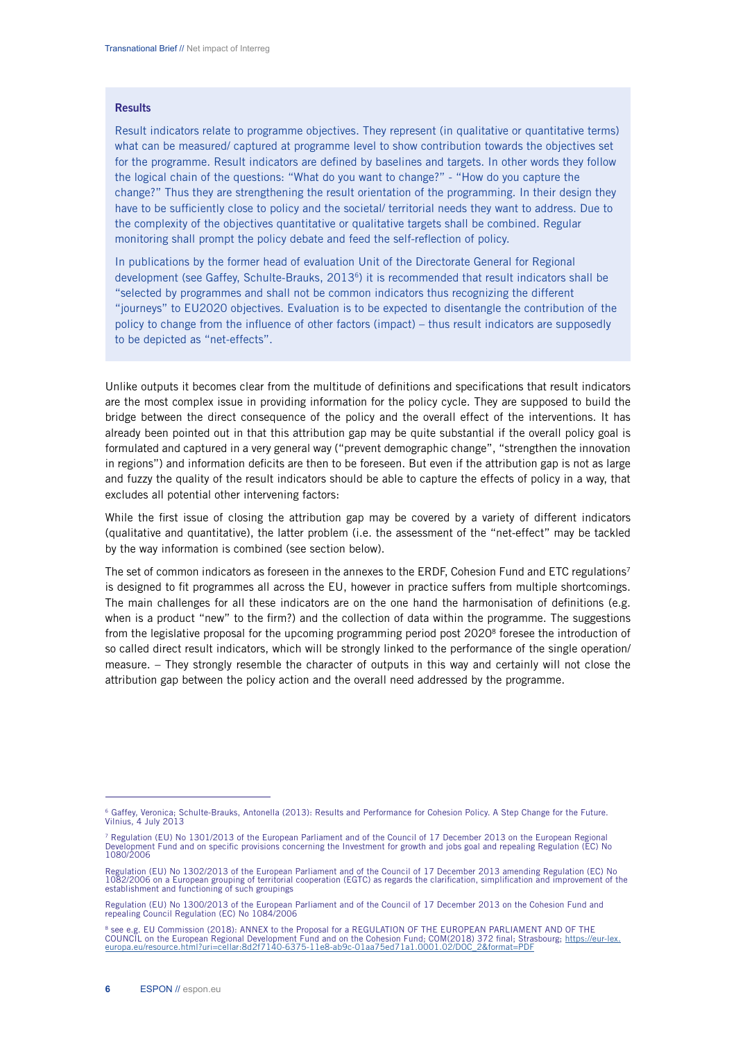#### **Results**

Result indicators relate to programme objectives. They represent (in qualitative or quantitative terms) what can be measured/ captured at programme level to show contribution towards the objectives set for the programme. Result indicators are defined by baselines and targets. In other words they follow the logical chain of the questions: "What do you want to change?" - "How do you capture the change?" Thus they are strengthening the result orientation of the programming. In their design they have to be sufficiently close to policy and the societal/ territorial needs they want to address. Due to the complexity of the objectives quantitative or qualitative targets shall be combined. Regular monitoring shall prompt the policy debate and feed the self-reflection of policy.

In publications by the former head of evaluation Unit of the Directorate General for Regional development (see Gaffey, Schulte-Brauks, 2013<sup>6</sup>) it is recommended that result indicators shall be "selected by programmes and shall not be common indicators thus recognizing the different "journeys" to EU2020 objectives. Evaluation is to be expected to disentangle the contribution of the policy to change from the influence of other factors (impact) – thus result indicators are supposedly to be depicted as "net-effects".

Unlike outputs it becomes clear from the multitude of definitions and specifications that result indicators are the most complex issue in providing information for the policy cycle. They are supposed to build the bridge between the direct consequence of the policy and the overall effect of the interventions. It has already been pointed out in that this attribution gap may be quite substantial if the overall policy goal is formulated and captured in a very general way ("prevent demographic change", "strengthen the innovation in regions") and information deficits are then to be foreseen. But even if the attribution gap is not as large and fuzzy the quality of the result indicators should be able to capture the effects of policy in a way, that excludes all potential other intervening factors:

While the first issue of closing the attribution gap may be covered by a variety of different indicators (qualitative and quantitative), the latter problem (i.e. the assessment of the "net-effect" may be tackled by the way information is combined (see section below).

The set of common indicators as foreseen in the annexes to the ERDF, Cohesion Fund and ETC regulations<sup>7</sup> is designed to fit programmes all across the EU, however in practice suffers from multiple shortcomings. The main challenges for all these indicators are on the one hand the harmonisation of definitions (e.g. when is a product "new" to the firm?) and the collection of data within the programme. The suggestions from the legislative proposal for the upcoming programming period post 2020<sup>8</sup> foresee the introduction of so called direct result indicators, which will be strongly linked to the performance of the single operation/ measure. – They strongly resemble the character of outputs in this way and certainly will not close the attribution gap between the policy action and the overall need addressed by the programme.

<sup>6</sup> Gaffey, Veronica; Schulte-Brauks, Antonella (2013): Results and Performance for Cohesion Policy. A Step Change for the Future. Vilnius, 4 July 2013

<sup>&</sup>lt;sup>7</sup> Regulation (EU) No 1301/2013 of the European Parliament and of the Council of 17 December 2013 on the European Regional<br>Development Fund and on specific provisions concerning the Investment for growth and jobs goal and 1080/2006

Regulation (EU) No 1302/2013 of the European Parliament and of the Council of 17 December 2013 amending Regulation (EC) No 2/2006 on a European grouping of territorial cooperation (EGTC) as regards the clarification, simplification and improvement of the establishment and functioning of such groupings

Regulation (EU) No 1300/2013 of the European Parliament and of the Council of 17 December 2013 on the Cohesion Fund and repealing Council Regulation (EC) No 1084/2006

**E. EU Commission (2018): ANNEX to the Proposal for a REGULATION OF THE EUROPEAN PARLIAMENT AND OF THE** COUNCIL on the European Regional Development Fund and on the Cohesion Fund; COM(2018) 372 final; Strasbourg; <u>https://eur-lex.</u><br><u>europa.eu/resource.html?uri=cellar:8d2f7140-6375-11e8-ab9c-01aa75ed71a1.0001.02/DOC\_2&format=</u>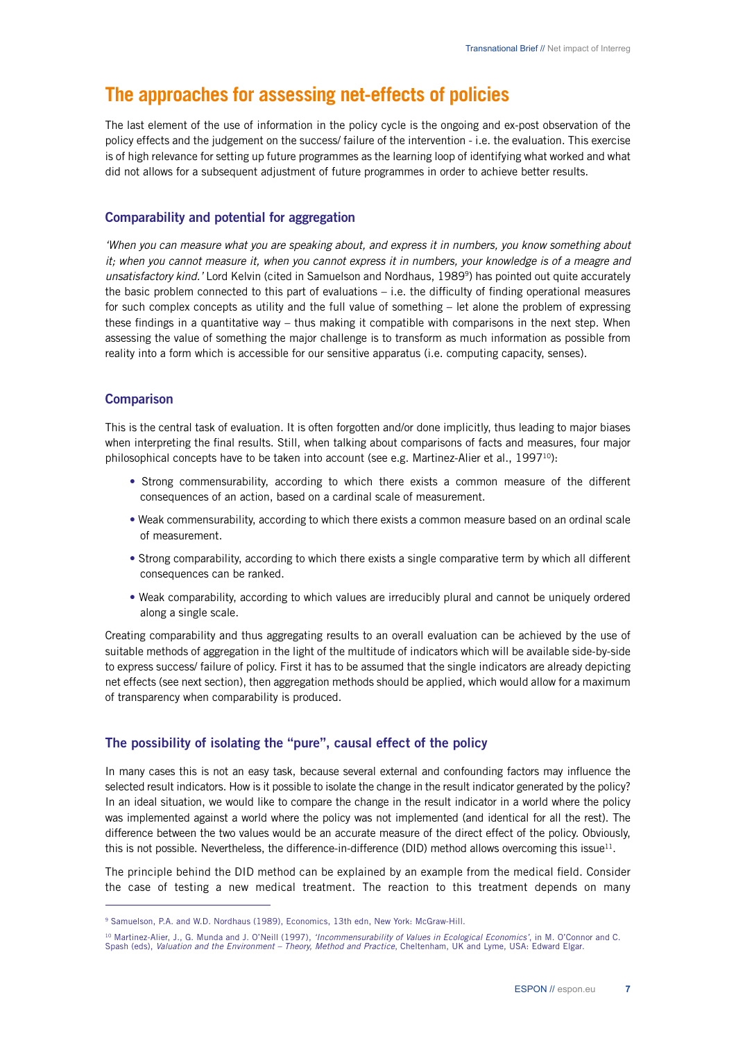# **The approaches for assessing net-effects of policies**

The last element of the use of information in the policy cycle is the ongoing and ex-post observation of the policy effects and the judgement on the success/ failure of the intervention - i.e. the evaluation. This exercise is of high relevance for setting up future programmes as the learning loop of identifying what worked and what did not allows for a subsequent adjustment of future programmes in order to achieve better results.

# Comparability and potential for aggregation

*'When you can measure what you are speaking about, and express it in numbers, you know something about it; when you cannot measure it, when you cannot express it in numbers, your knowledge is of a meagre and unsatisfactory kind.'* Lord Kelvin (cited in Samuelson and Nordhaus, 19899) has pointed out quite accurately the basic problem connected to this part of evaluations – i.e. the difficulty of finding operational measures for such complex concepts as utility and the full value of something – let alone the problem of expressing these findings in a quantitative way – thus making it compatible with comparisons in the next step. When assessing the value of something the major challenge is to transform as much information as possible from reality into a form which is accessible for our sensitive apparatus (i.e. computing capacity, senses).

# **Comparison**

This is the central task of evaluation. It is often forgotten and/or done implicitly, thus leading to major biases when interpreting the final results. Still, when talking about comparisons of facts and measures, four major philosophical concepts have to be taken into account (see e.g. Martinez-Alier et al.,  $1997^{10}$ ):

- Strong commensurability, according to which there exists a common measure of the different consequences of an action, based on a cardinal scale of measurement.
- Weak commensurability, according to which there exists a common measure based on an ordinal scale of measurement.
- Strong comparability, according to which there exists a single comparative term by which all different consequences can be ranked.
- Weak comparability, according to which values are irreducibly plural and cannot be uniquely ordered along a single scale.

Creating comparability and thus aggregating results to an overall evaluation can be achieved by the use of suitable methods of aggregation in the light of the multitude of indicators which will be available side-by-side to express success/ failure of policy. First it has to be assumed that the single indicators are already depicting net effects (see next section), then aggregation methods should be applied, which would allow for a maximum of transparency when comparability is produced.

# The possibility of isolating the "pure", causal effect of the policy

In many cases this is not an easy task, because several external and confounding factors may influence the selected result indicators. How is it possible to isolate the change in the result indicator generated by the policy? In an ideal situation, we would like to compare the change in the result indicator in a world where the policy was implemented against a world where the policy was not implemented (and identical for all the rest). The difference between the two values would be an accurate measure of the direct effect of the policy. Obviously, this is not possible. Nevertheless, the difference-in-difference (DID) method allows overcoming this issue<sup>11</sup>.

The principle behind the DID method can be explained by an example from the medical field. Consider the case of testing a new medical treatment. The reaction to this treatment depends on many

<sup>&</sup>lt;sup>9</sup> Samuelson, P.A. and W.D. Nordhaus (1989), Economics, 13th edn, New York: McGraw-Hill.

<sup>&</sup>lt;sup>10</sup> Martinez-Alier, J., G. Munda and J. O'Neill (1997), *'Incommensurability of Values in Ecological Economics'*, in M. O'Connor and C.<br>Spash (eds), *Valuation and the Environment – Theory, Method and Practice,* Cheltenha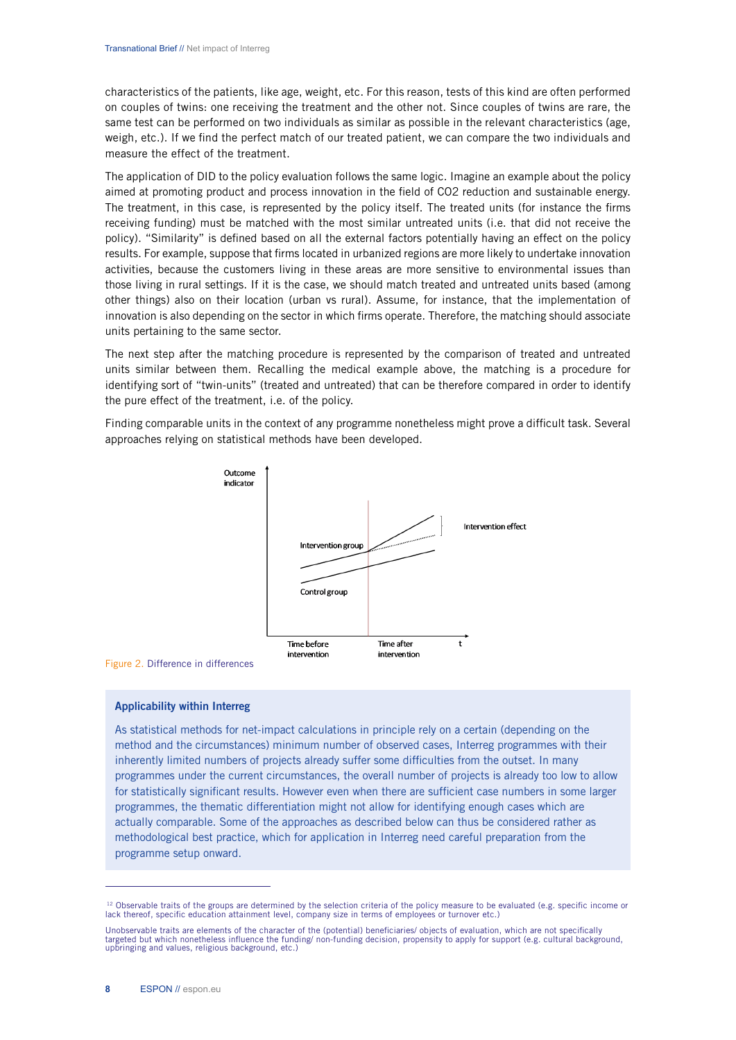characteristics of the patients, like age, weight, etc. For this reason, tests of this kind are often performed on couples of twins: one receiving the treatment and the other not. Since couples of twins are rare, the same test can be performed on two individuals as similar as possible in the relevant characteristics (age, weigh, etc.). If we find the perfect match of our treated patient, we can compare the two individuals and measure the effect of the treatment.

The application of DID to the policy evaluation follows the same logic. Imagine an example about the policy aimed at promoting product and process innovation in the field of CO2 reduction and sustainable energy. The treatment, in this case, is represented by the policy itself. The treated units (for instance the firms receiving funding) must be matched with the most similar untreated units (i.e. that did not receive the policy). "Similarity" is defined based on all the external factors potentially having an effect on the policy results. For example, suppose that firms located in urbanized regions are more likely to undertake innovation activities, because the customers living in these areas are more sensitive to environmental issues than those living in rural settings. If it is the case, we should match treated and untreated units based (among other things) also on their location (urban vs rural). Assume, for instance, that the implementation of innovation is also depending on the sector in which firms operate. Therefore, the matching should associate units pertaining to the same sector.

The next step after the matching procedure is represented by the comparison of treated and untreated units similar between them. Recalling the medical example above, the matching is a procedure for identifying sort of "twin-units" (treated and untreated) that can be therefore compared in order to identify the pure effect of the treatment, i.e. of the policy.

Finding comparable units in the context of any programme nonetheless might prove a difficult task. Several approaches relying on statistical methods have been developed.



Figure 2. Difference in differences

#### Applicability within Interreg

As statistical methods for net-impact calculations in principle rely on a certain (depending on the method and the circumstances) minimum number of observed cases, Interreg programmes with their inherently limited numbers of projects already suffer some difficulties from the outset. In many programmes under the current circumstances, the overall number of projects is already too low to allow for statistically significant results. However even when there are sufficient case numbers in some larger programmes, the thematic differentiation might not allow for identifying enough cases which are actually comparable. Some of the approaches as described below can thus be considered rather as methodological best practice, which for application in Interreg need careful preparation from the programme setup onward.

<sup>&</sup>lt;sup>12</sup> Observable traits of the groups are determined by the selection criteria of the policy measure to be evaluated (e.g. specific income or lack thereof, specific education attainment level, company size in terms of emplo

Unobservable traits are elements of the character of the (potential) beneficiaries/ objects of evaluation, which are not specifically<br>targeted but which nonetheless influence the funding/ non-funding decision, propensity t upbringing and values, religious background, etc.)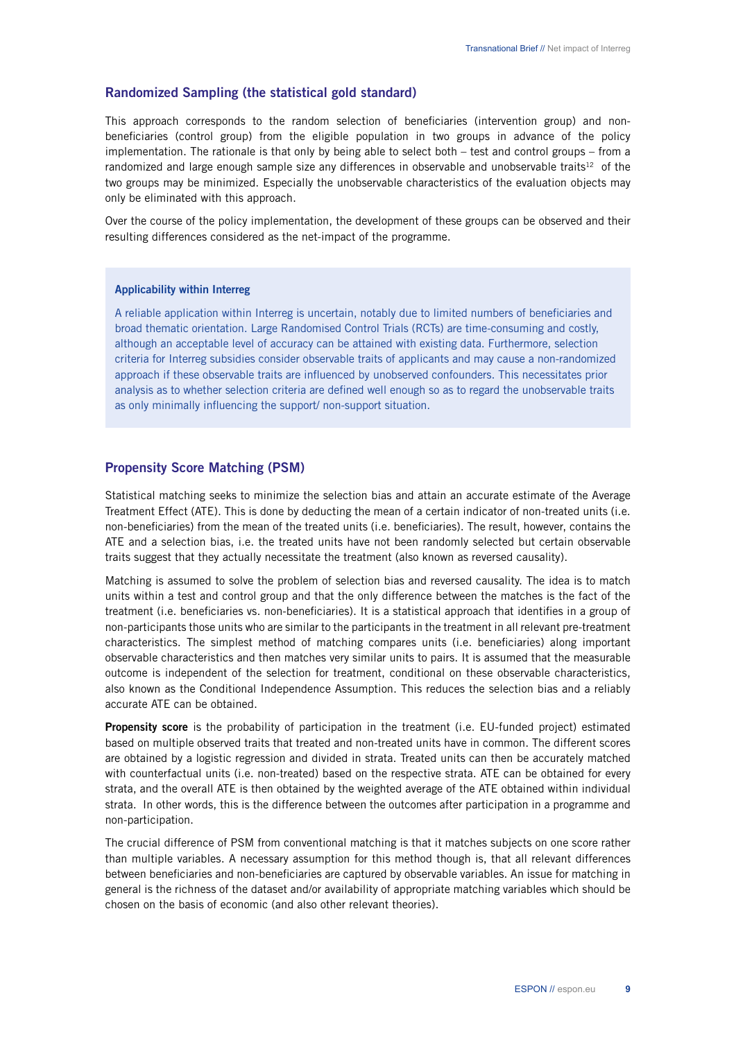# Randomized Sampling (the statistical gold standard)

This approach corresponds to the random selection of beneficiaries (intervention group) and nonbeneficiaries (control group) from the eligible population in two groups in advance of the policy implementation. The rationale is that only by being able to select both – test and control groups – from a randomized and large enough sample size any differences in observable and unobservable traits<sup>12</sup> of the two groups may be minimized. Especially the unobservable characteristics of the evaluation objects may only be eliminated with this approach.

Over the course of the policy implementation, the development of these groups can be observed and their resulting differences considered as the net-impact of the programme.

#### Applicability within Interreg

A reliable application within Interreg is uncertain, notably due to limited numbers of beneficiaries and broad thematic orientation. Large Randomised Control Trials (RCTs) are time-consuming and costly, although an acceptable level of accuracy can be attained with existing data. Furthermore, selection criteria for Interreg subsidies consider observable traits of applicants and may cause a non-randomized approach if these observable traits are influenced by unobserved confounders. This necessitates prior analysis as to whether selection criteria are defined well enough so as to regard the unobservable traits as only minimally influencing the support/ non-support situation.

### Propensity Score Matching (PSM)

Statistical matching seeks to minimize the selection bias and attain an accurate estimate of the Average Treatment Effect (ATE). This is done by deducting the mean of a certain indicator of non-treated units (i.e. non-beneficiaries) from the mean of the treated units (i.e. beneficiaries). The result, however, contains the ATE and a selection bias, i.e. the treated units have not been randomly selected but certain observable traits suggest that they actually necessitate the treatment (also known as reversed causality).

Matching is assumed to solve the problem of selection bias and reversed causality. The idea is to match units within a test and control group and that the only difference between the matches is the fact of the treatment (i.e. beneficiaries vs. non-beneficiaries). It is a statistical approach that identifies in a group of non-participants those units who are similar to the participants in the treatment in all relevant pre-treatment characteristics. The simplest method of matching compares units (i.e. beneficiaries) along important observable characteristics and then matches very similar units to pairs. It is assumed that the measurable outcome is independent of the selection for treatment, conditional on these observable characteristics, also known as the Conditional Independence Assumption. This reduces the selection bias and a reliably accurate ATE can be obtained.

Propensity score is the probability of participation in the treatment (i.e. EU-funded project) estimated based on multiple observed traits that treated and non-treated units have in common. The different scores are obtained by a logistic regression and divided in strata. Treated units can then be accurately matched with counterfactual units (i.e. non-treated) based on the respective strata. ATE can be obtained for every strata, and the overall ATE is then obtained by the weighted average of the ATE obtained within individual strata. In other words, this is the difference between the outcomes after participation in a programme and non-participation.

The crucial difference of PSM from conventional matching is that it matches subjects on one score rather than multiple variables. A necessary assumption for this method though is, that all relevant differences between beneficiaries and non-beneficiaries are captured by observable variables. An issue for matching in general is the richness of the dataset and/or availability of appropriate matching variables which should be chosen on the basis of economic (and also other relevant theories).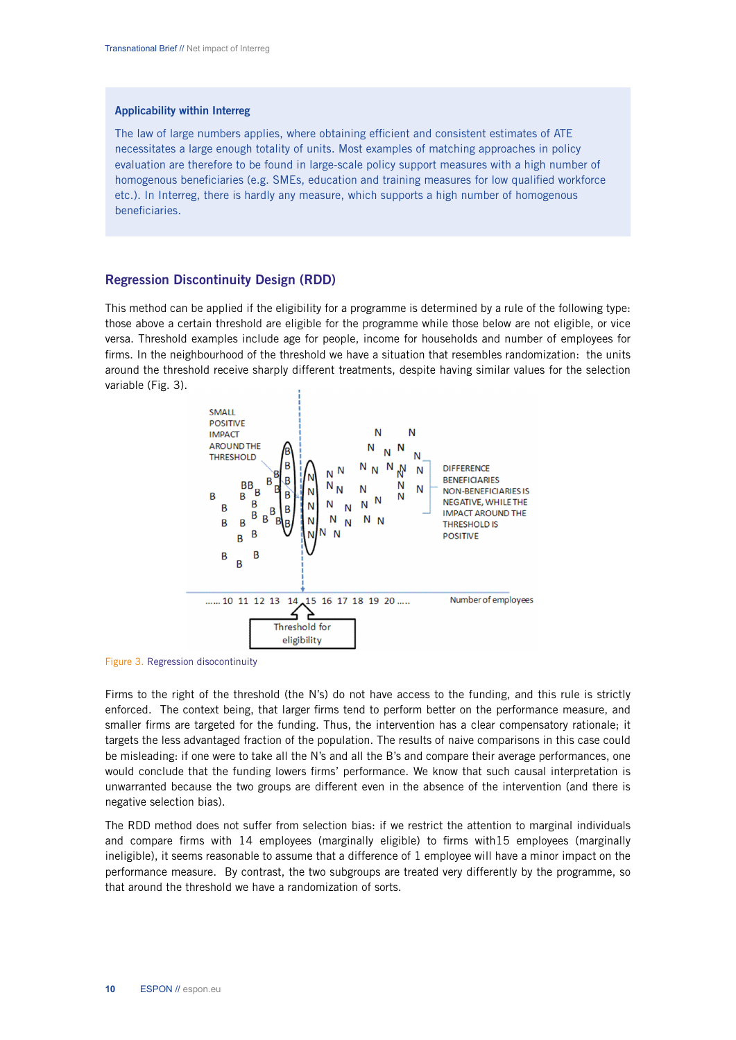#### Applicability within Interreg

The law of large numbers applies, where obtaining efficient and consistent estimates of ATE necessitates a large enough totality of units. Most examples of matching approaches in policy evaluation are therefore to be found in large-scale policy support measures with a high number of homogenous beneficiaries (e.g. SMEs, education and training measures for low qualified workforce etc.). In Interreg, there is hardly any measure, which supports a high number of homogenous beneficiaries.

#### Regression Discontinuity Design (RDD)

This method can be applied if the eligibility for a programme is determined by a rule of the following type: those above a certain threshold are eligible for the programme while those below are not eligible, or vice versa. Threshold examples include age for people, income for households and number of employees for firms. In the neighbourhood of the threshold we have a situation that resembles randomization: the units around the threshold receive sharply different treatments, despite having similar values for the selection variable (Fig. 3).



Figure 3. Regression disocontinuity

Firms to the right of the threshold (the N's) do not have access to the funding, and this rule is strictly enforced. The context being, that larger firms tend to perform better on the performance measure, and smaller firms are targeted for the funding. Thus, the intervention has a clear compensatory rationale; it targets the less advantaged fraction of the population. The results of naive comparisons in this case could be misleading: if one were to take all the N's and all the B's and compare their average performances, one would conclude that the funding lowers firms' performance. We know that such causal interpretation is unwarranted because the two groups are different even in the absence of the intervention (and there is negative selection bias).

The RDD method does not suffer from selection bias: if we restrict the attention to marginal individuals and compare firms with 14 employees (marginally eligible) to firms with15 employees (marginally ineligible), it seems reasonable to assume that a difference of 1 employee will have a minor impact on the performance measure. By contrast, the two subgroups are treated very differently by the programme, so that around the threshold we have a randomization of sorts.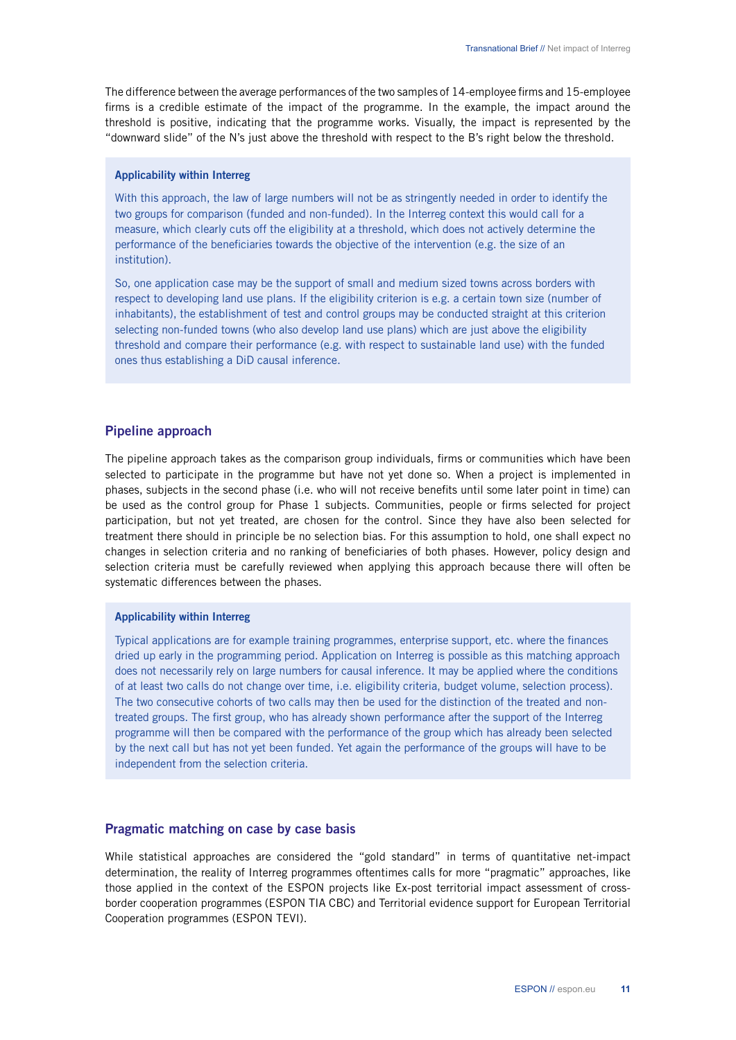The difference between the average performances of the two samples of 14-employee firms and 15-employee firms is a credible estimate of the impact of the programme. In the example, the impact around the threshold is positive, indicating that the programme works. Visually, the impact is represented by the "downward slide" of the N's just above the threshold with respect to the B's right below the threshold.

#### Applicability within Interreg

With this approach, the law of large numbers will not be as stringently needed in order to identify the two groups for comparison (funded and non-funded). In the Interreg context this would call for a measure, which clearly cuts off the eligibility at a threshold, which does not actively determine the performance of the beneficiaries towards the objective of the intervention (e.g. the size of an institution).

So, one application case may be the support of small and medium sized towns across borders with respect to developing land use plans. If the eligibility criterion is e.g. a certain town size (number of inhabitants), the establishment of test and control groups may be conducted straight at this criterion selecting non-funded towns (who also develop land use plans) which are just above the eligibility threshold and compare their performance (e.g. with respect to sustainable land use) with the funded ones thus establishing a DiD causal inference.

## Pipeline approach

The pipeline approach takes as the comparison group individuals, firms or communities which have been selected to participate in the programme but have not yet done so. When a project is implemented in phases, subjects in the second phase (i.e. who will not receive benefits until some later point in time) can be used as the control group for Phase 1 subjects. Communities, people or firms selected for project participation, but not yet treated, are chosen for the control. Since they have also been selected for treatment there should in principle be no selection bias. For this assumption to hold, one shall expect no changes in selection criteria and no ranking of beneficiaries of both phases. However, policy design and selection criteria must be carefully reviewed when applying this approach because there will often be systematic differences between the phases.

#### Applicability within Interreg

Typical applications are for example training programmes, enterprise support, etc. where the finances dried up early in the programming period. Application on Interreg is possible as this matching approach does not necessarily rely on large numbers for causal inference. It may be applied where the conditions of at least two calls do not change over time, i.e. eligibility criteria, budget volume, selection process). The two consecutive cohorts of two calls may then be used for the distinction of the treated and nontreated groups. The first group, who has already shown performance after the support of the Interreg programme will then be compared with the performance of the group which has already been selected by the next call but has not yet been funded. Yet again the performance of the groups will have to be independent from the selection criteria.

### Pragmatic matching on case by case basis

While statistical approaches are considered the "gold standard" in terms of quantitative net-impact determination, the reality of Interreg programmes oftentimes calls for more "pragmatic" approaches, like those applied in the context of the ESPON projects like Ex-post territorial impact assessment of crossborder cooperation programmes (ESPON TIA CBC) and Territorial evidence support for European Territorial Cooperation programmes (ESPON TEVI).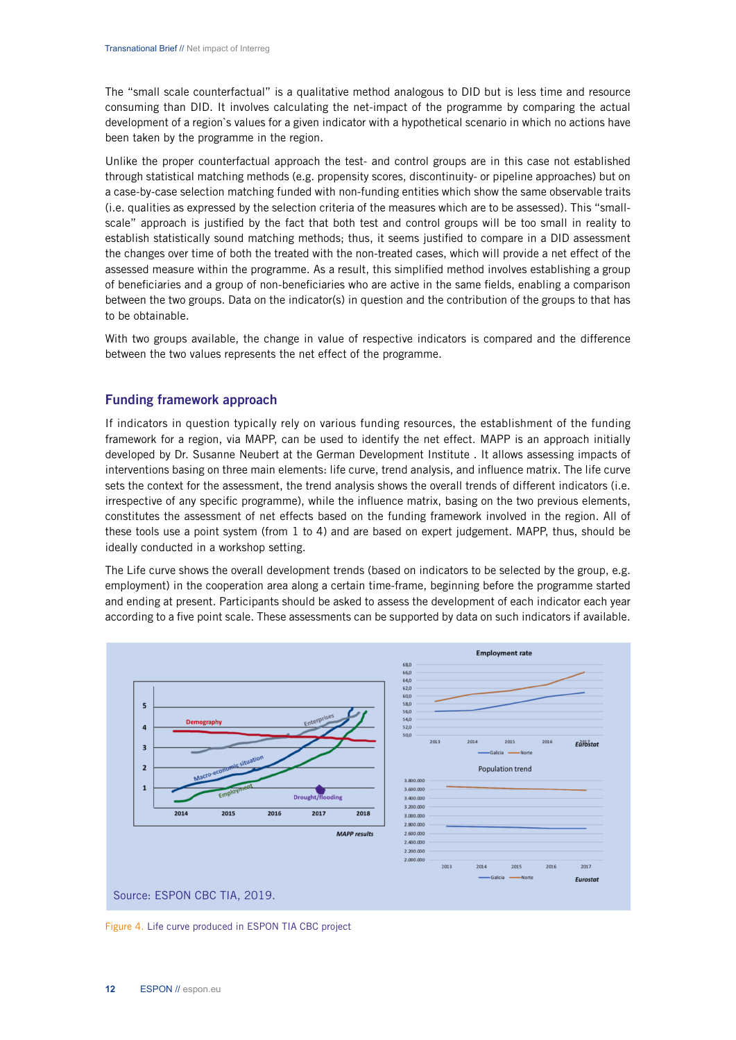The "small scale counterfactual" is a qualitative method analogous to DID but is less time and resource consuming than DID. It involves calculating the net-impact of the programme by comparing the actual development of a region`s values for a given indicator with a hypothetical scenario in which no actions have been taken by the programme in the region.

Unlike the proper counterfactual approach the test- and control groups are in this case not established through statistical matching methods (e.g. propensity scores, discontinuity- or pipeline approaches) but on a case-by-case selection matching funded with non-funding entities which show the same observable traits (i.e. qualities as expressed by the selection criteria of the measures which are to be assessed). This "smallscale" approach is justified by the fact that both test and control groups will be too small in reality to establish statistically sound matching methods; thus, it seems justified to compare in a DID assessment the changes over time of both the treated with the non-treated cases, which will provide a net effect of the assessed measure within the programme. As a result, this simplified method involves establishing a group of beneficiaries and a group of non-beneficiaries who are active in the same fields, enabling a comparison between the two groups. Data on the indicator(s) in question and the contribution of the groups to that has to be obtainable.

With two groups available, the change in value of respective indicators is compared and the difference between the two values represents the net effect of the programme.

# Funding framework approach

If indicators in question typically rely on various funding resources, the establishment of the funding framework for a region, via MAPP, can be used to identify the net effect. MAPP is an approach initially developed by Dr. Susanne Neubert at the German Development Institute . It allows assessing impacts of interventions basing on three main elements: life curve, trend analysis, and influence matrix. The life curve sets the context for the assessment, the trend analysis shows the overall trends of different indicators (i.e. irrespective of any specific programme), while the influence matrix, basing on the two previous elements, constitutes the assessment of net effects based on the funding framework involved in the region. All of these tools use a point system (from 1 to 4) and are based on expert judgement. MAPP, thus, should be ideally conducted in a workshop setting.

The Life curve shows the overall development trends (based on indicators to be selected by the group, e.g. employment) in the cooperation area along a certain time-frame, beginning before the programme started and ending at present. Participants should be asked to assess the development of each indicator each year according to a five point scale. These assessments can be supported by data on such indicators if available.



Figure 4. Life curve produced in ESPON TIA CBC project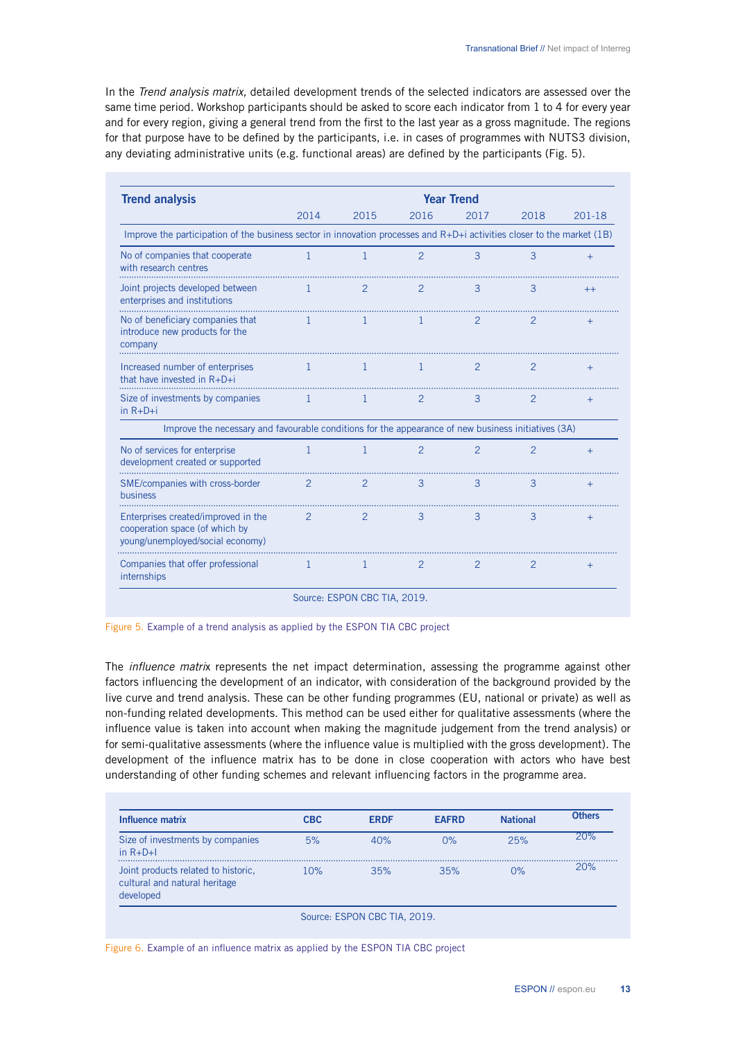In the *Trend analysis matrix,* detailed development trends of the selected indicators are assessed over the same time period. Workshop participants should be asked to score each indicator from 1 to 4 for every year and for every region, giving a general trend from the first to the last year as a gross magnitude. The regions for that purpose have to be defined by the participants, i.e. in cases of programmes with NUTS3 division, any deviating administrative units (e.g. functional areas) are defined by the participants (Fig. 5).

| <b>Trend analysis</b>                                                                                                   | <b>Year Trend</b> |               |               |               |                |          |  |  |
|-------------------------------------------------------------------------------------------------------------------------|-------------------|---------------|---------------|---------------|----------------|----------|--|--|
|                                                                                                                         | 2014              | 2015          | 2016          | 2017          | 2018           | $201-18$ |  |  |
| Improve the participation of the business sector in innovation processes and R+D+i activities closer to the market (1B) |                   |               |               |               |                |          |  |  |
| No of companies that cooperate<br>with research centres                                                                 | 1                 | -1            | $\mathcal{P}$ | 3             | 3              | $+$      |  |  |
| Joint projects developed between<br>enterprises and institutions                                                        | 1                 | $\mathcal{P}$ | $\mathcal{P}$ | 3             | 3              | $++$     |  |  |
| No of beneficiary companies that<br>introduce new products for the<br>company                                           | $\mathbf{1}$      | $\mathbf{1}$  | $\mathbf{1}$  | 2             | $\overline{2}$ | $+$      |  |  |
| Increased number of enterprises<br>that have invested in $R+D+i$                                                        | -1                | -1            | $\mathbf{1}$  | 2             | 2              | $+$      |  |  |
| Size of investments by companies<br>$in R + D + i$                                                                      | 1                 | 1             | 2             | 3             | 2              | $+$      |  |  |
| Improve the necessary and favourable conditions for the appearance of new business initiatives (3A)                     |                   |               |               |               |                |          |  |  |
| No of services for enterprise<br>development created or supported                                                       | 1                 | 1             | $\mathcal{P}$ | $\mathcal{P}$ | $\mathcal{P}$  | $+$      |  |  |
| SME/companies with cross-border<br>business                                                                             | $\mathcal{P}$     | $\mathcal{P}$ | 3             | 3             | 3              | $+$      |  |  |
| Enterprises created/improved in the<br>cooperation space (of which by<br>young/unemployed/social economy)               | 2                 | 2             | 3             | 3             | 3              | $+$      |  |  |
| Companies that offer professional<br>internships                                                                        | 1                 | 1             | 2             | 2             | 2              | $+$      |  |  |

Figure 5. Example of a trend analysis as applied by the ESPON TIA CBC project

The *influence matri*x represents the net impact determination, assessing the programme against other factors influencing the development of an indicator, with consideration of the background provided by the live curve and trend analysis. These can be other funding programmes (EU, national or private) as well as non-funding related developments. This method can be used either for qualitative assessments (where the influence value is taken into account when making the magnitude judgement from the trend analysis) or for semi-qualitative assessments (where the influence value is multiplied with the gross development). The development of the influence matrix has to be done in close cooperation with actors who have best understanding of other funding schemes and relevant influencing factors in the programme area.

| Influence matrix                                                                  | <b>CBC</b> | <b>ERDF</b>                  | <b>EAFRD</b> | <b>National</b> | <b>Others</b> |
|-----------------------------------------------------------------------------------|------------|------------------------------|--------------|-----------------|---------------|
| Size of investments by companies<br>in $R + D + I$                                | 5%         | 40%                          | 0%           | 25%             | 20%           |
| Joint products related to historic.<br>cultural and natural heritage<br>developed | 10%        | 35%                          | 35%          | 0%              | 20%           |
|                                                                                   |            | Source: ESPON CBC TIA, 2019. |              |                 |               |

Figure 6. Example of an influence matrix as applied by the ESPON TIA CBC project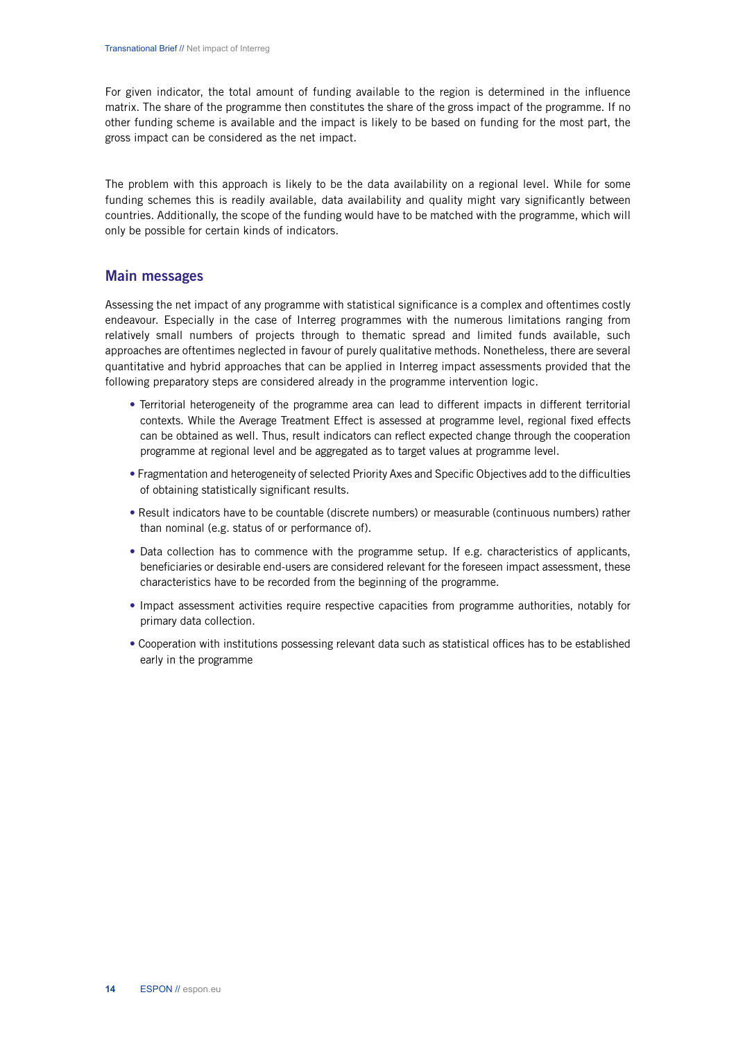For given indicator, the total amount of funding available to the region is determined in the influence matrix. The share of the programme then constitutes the share of the gross impact of the programme. If no other funding scheme is available and the impact is likely to be based on funding for the most part, the gross impact can be considered as the net impact.

The problem with this approach is likely to be the data availability on a regional level. While for some funding schemes this is readily available, data availability and quality might vary significantly between countries. Additionally, the scope of the funding would have to be matched with the programme, which will only be possible for certain kinds of indicators.

# Main messages

Assessing the net impact of any programme with statistical significance is a complex and oftentimes costly endeavour. Especially in the case of Interreg programmes with the numerous limitations ranging from relatively small numbers of projects through to thematic spread and limited funds available, such approaches are oftentimes neglected in favour of purely qualitative methods. Nonetheless, there are several quantitative and hybrid approaches that can be applied in Interreg impact assessments provided that the following preparatory steps are considered already in the programme intervention logic.

- Territorial heterogeneity of the programme area can lead to different impacts in different territorial contexts. While the Average Treatment Effect is assessed at programme level, regional fixed effects can be obtained as well. Thus, result indicators can reflect expected change through the cooperation programme at regional level and be aggregated as to target values at programme level.
- Fragmentation and heterogeneity of selected Priority Axes and Specific Objectives add to the difficulties of obtaining statistically significant results.
- Result indicators have to be countable (discrete numbers) or measurable (continuous numbers) rather than nominal (e.g. status of or performance of).
- Data collection has to commence with the programme setup. If e.g. characteristics of applicants, beneficiaries or desirable end-users are considered relevant for the foreseen impact assessment, these characteristics have to be recorded from the beginning of the programme.
- Impact assessment activities require respective capacities from programme authorities, notably for primary data collection.
- Cooperation with institutions possessing relevant data such as statistical offices has to be established early in the programme